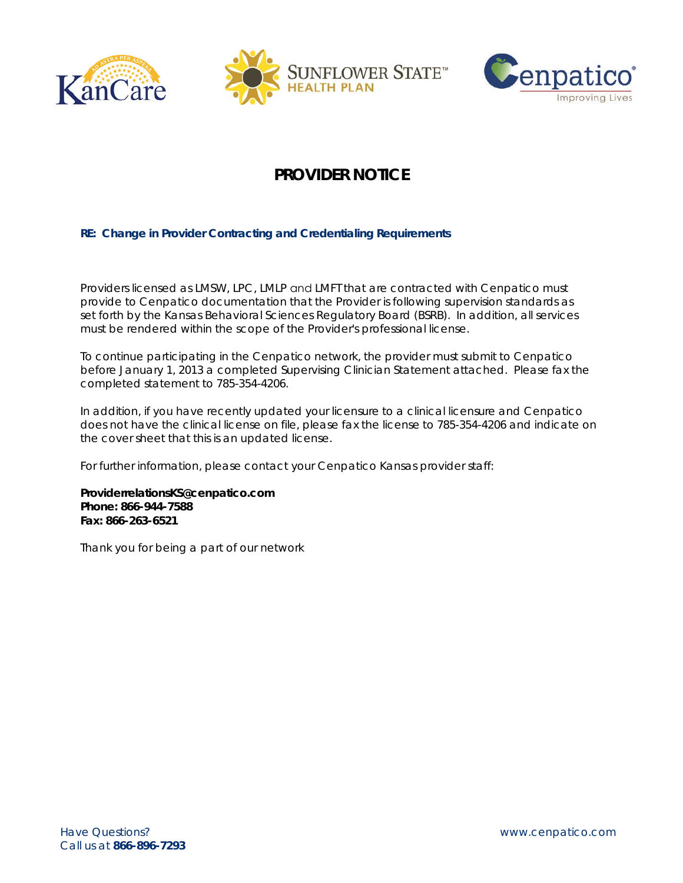





## **PROVIDER NOTICE**

## **RE: Change in Provider Contracting and Credentialing Requirements**

Providers licensed as LMSW, LPC, LMLP and LMFT that are contracted with Cenpatico must provide to Cenpatico documentation that the Provider is following supervision standards as set forth by the Kansas Behavioral Sciences Regulatory Board (BSRB). In addition, all services must be rendered within the scope of the Provider's professional license.

To continue participating in the Cenpatico network, the provider must submit to Cenpatico before January 1, 2013 a completed Supervising Clinician Statement attached. Please fax the completed statement to 785-354-4206.

In addition, if you have recently updated your licensure to a clinical licensure and Cenpatico does not have the clinical license on file, please fax the license to 785-354-4206 and indicate on the cover sheet that this is an updated license.

For further information, please contact your Cenpatico Kansas provider staff:

**ProviderrelationsKS@cenpatico.com Phone: 866-944-7588 Fax: 866-263-6521** 

Thank you for being a part of our network